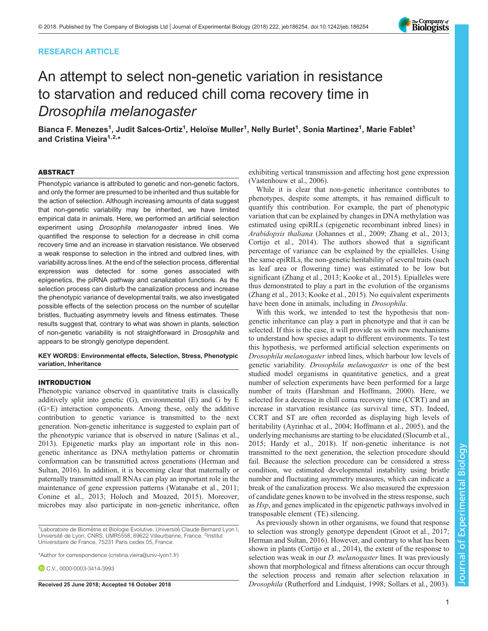# RESEARCH ARTICLE



# An attempt to select non-genetic variation in resistance to starvation and reduced chill coma recovery time in Drosophila melanogaster

Bianca F. Menezes<sup>1</sup>, Judit Salces-Ortiz<sup>1</sup>, Heloïse Muller<sup>1</sup>, Nelly Burlet<sup>1</sup>, Sonia Martinez<sup>1</sup>, Marie Fablet<sup>1</sup> and Cristina Vieira<sup>1,2,\*</sup>

## ABSTRACT

Phenotypic variance is attributed to genetic and non-genetic factors, and only the former are presumed to be inherited and thus suitable for the action of selection. Although increasing amounts of data suggest that non-genetic variability may be inherited, we have limited empirical data in animals. Here, we performed an artificial selection experiment using Drosophila melanogaster inbred lines. We quantified the response to selection for a decrease in chill coma recovery time and an increase in starvation resistance. We observed a weak response to selection in the inbred and outbred lines, with variability across lines. At the end of the selection process, differential expression was detected for some genes associated with epigenetics, the piRNA pathway and canalization functions. As the selection process can disturb the canalization process and increase the phenotypic variance of developmental traits, we also investigated possible effects of the selection process on the number of scutellar bristles, fluctuating asymmetry levels and fitness estimates. These results suggest that, contrary to what was shown in plants, selection of non-genetic variability is not straightforward in Drosophila and appears to be strongly genotype dependent.

KEY WORDS: Environmental effects, Selection, Stress, Phenotypic variation, Inheritance

#### INTRODUCTION

Phenotypic variance observed in quantitative traits is classically additively split into genetic (G), environmental (E) and G by E (G×E) interaction components. Among these, only the additive contribution to genetic variance is transmitted to the next generation. Non-genetic inheritance is suggested to explain part of the phenotypic variance that is observed in nature ([Salinas et al.,](#page-7-0) [2013](#page-7-0)). Epigenetic marks play an important role in this nongenetic inheritance as DNA methylation patterns or chromatin conformation can be transmitted across generations ([Herman and](#page-7-0) [Sultan, 2016\)](#page-7-0). In addition, it is becoming clear that maternally or paternally transmitted small RNAs can play an important role in the maintenance of gene expression patterns [\(Watanabe et al., 2011](#page-7-0); [Conine et al., 2013](#page-6-0); [Holoch and Moazed, 2015\)](#page-7-0). Moreover, microbes may also participate in non-genetic inheritance, often

\*Author for correspondence [\(cristina.vieira@univ-lyon1.fr](mailto:cristina.vieira@univ-lyon1.fr))

C.V., [0000-0003-3414-3993](http://orcid.org/0000-0003-3414-3993)

exhibiting vertical transmission and affecting host gene expression [\(Vastenhouw et al., 2006\)](#page-7-0).

While it is clear that non-genetic inheritance contributes to phenotypes, despite some attempts, it has remained difficult to quantify this contribution. For example, the part of phenotypic variation that can be explained by changes in DNA methylation was estimated using epiRILs (epigenetic recombinant inbred lines) in Arabidopsis thaliana [\(Johannes et al., 2009](#page-7-0); [Zhang et al., 2013](#page-7-0); [Cortijo et al., 2014\)](#page-6-0). The authors showed that a significant percentage of variance can be explained by the epialleles. Using the same epiRILs, the non-genetic heritability of several traits (such as leaf area or flowering time) was estimated to be low but significant [\(Zhang et al., 2013; Kooke et al., 2015](#page-7-0)). Epialleles were thus demonstrated to play a part in the evolution of the organisms [\(Zhang et al., 2013; Kooke et al., 2015\)](#page-7-0). No equivalent experiments have been done in animals, including in Drosophila.

With this work, we intended to test the hypothesis that nongenetic inheritance can play a part in phenotype and that it can be selected. If this is the case, it will provide us with new mechanisms to understand how species adapt to different environments. To test this hypothesis, we performed artificial selection experiments on Drosophila melanogaster inbred lines, which harbour low levels of genetic variability. Drosophila melanogaster is one of the best studied model organisms in quantitative genetics, and a great number of selection experiments have been performed for a large number of traits ([Harshman and Hoffmann, 2000](#page-7-0)). Here, we selected for a decrease in chill coma recovery time (CCRT) and an increase in starvation resistance (as survival time, ST). Indeed, CCRT and ST are often recorded as displaying high levels of heritability ([Ayrinhac et al., 2004;](#page-6-0) [Hoffmann et al., 2005](#page-7-0)), and the underlying mechanisms are starting to be elucidated ([Slocumb et al.,](#page-7-0) [2015; Hardy et al., 2018](#page-7-0)). If non-genetic inheritance is not transmitted to the next generation, the selection procedure should fail. Because the selection procedure can be considered a stress condition, we estimated developmental instability using bristle number and fluctuating asymmetry measures, which can indicate a break of the canalization process. We also measured the expression of candidate genes known to be involved in the stress response, such as Hsp, and genes implicated in the epigenetic pathways involved in transposable element (TE) silencing.

As previously shown in other organisms, we found that response to selection was strongly genotype dependent [\(Groot et al., 2017](#page-7-0); [Herman and Sultan, 2016\)](#page-7-0). However, and contrary to what has been shown in plants [\(Cortijo et al., 2014\)](#page-6-0), the extent of the response to selection was weak in our *D. melanogaster* lines. It was previously shown that morphological and fitness alterations can occur through the selection process and remain after selection relaxation in Received 25 June 2018; Accepted 16 October 2018 Drosophila ([Rutherford and Lindquist, 1998](#page-7-0); [Sollars et al., 2003\)](#page-7-0).

<sup>&</sup>lt;sup>1</sup> Laboratoire de Biométrie et Biologie Evolutive, Université Claude Bernard Lyon I, Université de Lyon, CNRS, UMR5558, 69622 Villeurbanne, France. <sup>2</sup>Institut Universitaire de France, 75231 Paris cedex 05, France.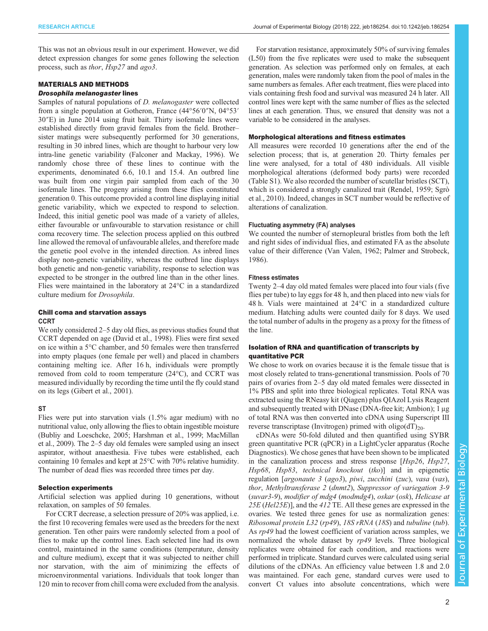This was not an obvious result in our experiment. However, we did detect expression changes for some genes following the selection process, such as thor, Hsp27 and ago3.

## MATERIALS AND METHODS Drosophila melanogaster lines

Samples of natural populations of D. melanogaster were collected from a single population at Gotheron, France (44°56′0″N, 04°53′ 30″E) in June 2014 using fruit bait. Thirty isofemale lines were established directly from gravid females from the field. Brother– sister matings were subsequently performed for 30 generations, resulting in 30 inbred lines, which are thought to harbour very low intra-line genetic variability [\(Falconer and Mackay, 1996](#page-7-0)). We randomly chose three of these lines to continue with the experiments, denominated 6.6, 10.1 and 15.4. An outbred line was built from one virgin pair sampled from each of the 30 isofemale lines. The progeny arising from these flies constituted generation 0. This outcome provided a control line displaying initial genetic variability, which we expected to respond to selection. Indeed, this initial genetic pool was made of a variety of alleles, either favourable or unfavourable to starvation resistance or chill coma recovery time. The selection process applied on this outbred line allowed the removal of unfavourable alleles, and therefore made the genetic pool evolve in the intended direction. As inbred lines display non-genetic variability, whereas the outbred line displays both genetic and non-genetic variability, response to selection was expected to be stronger in the outbred line than in the other lines. Flies were maintained in the laboratory at 24°C in a standardized culture medium for Drosophila.

## Chill coma and starvation assays CCRT

We only considered 2–5 day old flies, as previous studies found that CCRT depended on age ([David et al., 1998](#page-6-0)). Flies were first sexed on ice within a 5°C chamber, and 50 females were then transferred into empty plaques (one female per well) and placed in chambers containing melting ice. After 16 h, individuals were promptly removed from cold to room temperature (24°C), and CCRT was measured individually by recording the time until the fly could stand on its legs ([Gibert et al., 2001\)](#page-7-0).

# **ST**

Flies were put into starvation vials (1.5% agar medium) with no nutritional value, only allowing the flies to obtain ingestible moisture [\(Bubliy and Loeschcke, 2005;](#page-6-0) [Harshman et al., 1999; MacMillan](#page-7-0) [et al., 2009](#page-7-0)). The 2–5 day old females were sampled using an insect aspirator, without anaesthesia. Five tubes were established, each containing 10 females and kept at 25°C with 70% relative humidity. The number of dead flies was recorded three times per day.

## Selection experiments

Artificial selection was applied during 10 generations, without relaxation, on samples of 50 females.

For CCRT decrease, a selection pressure of 20% was applied, i.e. the first 10 recovering females were used as the breeders for the next generation. Ten other pairs were randomly selected from a pool of flies to make up the control lines. Each selected line had its own control, maintained in the same conditions (temperature, density and culture medium), except that it was subjected to neither chill nor starvation, with the aim of minimizing the effects of microenvironmental variations. Individuals that took longer than 120 min to recover from chill coma were excluded from the analysis.

For starvation resistance, approximately 50% of surviving females (L50) from the five replicates were used to make the subsequent generation. As selection was performed only on females, at each generation, males were randomly taken from the pool of males in the same numbers as females. After each treatment, flies were placed into vials containing fresh food and survival was measured 24 h later. All control lines were kept with the same number of flies as the selected lines at each generation. Thus, we ensured that density was not a variable to be considered in the analyses.

# Morphological alterations and fitness estimates

All measures were recorded 10 generations after the end of the selection process; that is, at generation 20. Thirty females per line were analysed, for a total of 480 individuals. All visible morphological alterations (deformed body parts) were recorded [\(Table S1](http://jeb.biologists.org/lookup/doi/10.1242/jeb.186254.supplemental)). We also recorded the number of scutellar bristles (SCT), which is considered a strongly canalized trait ([Rendel, 1959; Sgrò](#page-7-0) [et al., 2010](#page-7-0)). Indeed, changes in SCT number would be reflective of alterations of canalization.

## Fluctuating asymmetry (FA) analyses

We counted the number of sternopleural bristles from both the left and right sides of individual flies, and estimated FA as the absolute value of their difference ([Van Valen, 1962](#page-7-0); [Palmer and Strobeck,](#page-7-0) [1986\)](#page-7-0).

## Fitness estimates

Twenty 2–4 day old mated females were placed into four vials (five flies per tube) to lay eggs for 48 h, and then placed into new vials for 48 h. Vials were maintained at 24°C in a standardized culture medium. Hatching adults were counted daily for 8 days. We used the total number of adults in the progeny as a proxy for the fitness of the line.

## Isolation of RNA and quantification of transcripts by quantitative PCR

We chose to work on ovaries because it is the female tissue that is most closely related to trans-generational transmission. Pools of 70 pairs of ovaries from 2–5 day old mated females were dissected in 1% PBS and split into three biological replicates. Total RNA was extracted using the RNeasy kit (Qiagen) plus QIAzol Lysis Reagent and subsequently treated with DNase (DNA-free kit; Ambion); 1 μg of total RNA was then converted into cDNA using Superscript III reverse transcriptase (Invitrogen) primed with  $\text{oligo}(dT)_{20}$ .

cDNAs were 50-fold diluted and then quantified using SYBR green quantitative PCR (qPCR) in a LightCycler apparatus (Roche Diagnostics). We chose genes that have been shown to be implicated in the canalization process and stress response [Hsp26, Hsp27, Hsp68, Hsp83, technical knockout (tko)] and in epigenetic regulation [argonaute 3 (ago3), piwi, zucchini (zuc), vasa (vas), thor, Methyltransferase 2 (dnmt2), Suppressor of variegation 3-9 (suvar3-9), modifier of mdg4 (modmdg4), oskar (osk), Helicase at 25E (Hel25E)], and the 412 TE. All these genes are expressed in the ovaries. We tested three genes for use as normalization genes: Ribosomal protein L32 (rp49), 18S rRNA (18S) and tubuline (tub). As rp49 had the lowest coefficient of variation across samples, we normalized the whole dataset by  $rp49$  levels. Three biological replicates were obtained for each condition, and reactions were performed in triplicate. Standard curves were calculated using serial dilutions of the cDNAs. An efficiency value between 1.8 and 2.0 was maintained. For each gene, standard curves were used to convert Ct values into absolute concentrations, which were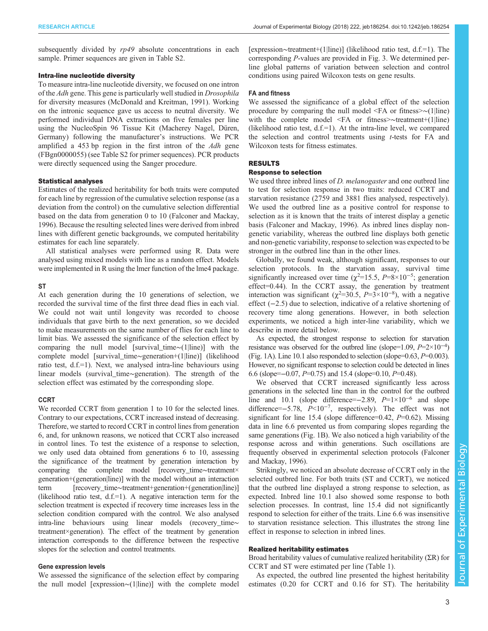subsequently divided by  $rp49$  absolute concentrations in each sample. Primer sequences are given in [Table S2.](http://jeb.biologists.org/lookup/doi/10.1242/jeb.186254.supplemental)

# Intra-line nucleotide diversity

To measure intra-line nucleotide diversity, we focused on one intron of the Adh gene. This gene is particularly well studied in Drosophila for diversity measures ([McDonald and Kreitman, 1991](#page-7-0)). Working on the intronic sequence gave us access to neutral diversity. We performed individual DNA extractions on five females per line using the NucleoSpin 96 Tissue Kit (Macherey Nagel, Düren, Germany) following the manufacturer's instructions. We PCR amplified a 453 bp region in the first intron of the Adh gene (FBgn0000055) (see [Table S2](http://jeb.biologists.org/lookup/doi/10.1242/jeb.186254.supplemental) for primer sequences). PCR products were directly sequenced using the Sanger procedure.

#### Statistical analyses

Estimates of the realized heritability for both traits were computed for each line by regression of the cumulative selection response (as a deviation from the control) on the cumulative selection differential based on the data from generation 0 to 10 [\(Falconer and Mackay,](#page-7-0) [1996](#page-7-0)). Because the resulting selected lines were derived from inbred lines with different genetic backgrounds, we computed heritability estimates for each line separately.

All statistical analyses were performed using R. Data were analysed using mixed models with line as a random effect. Models were implemented in R using the lmer function of the lme4 package.

#### **ST**

At each generation during the 10 generations of selection, we recorded the survival time of the first three dead flies in each vial. We could not wait until longevity was recorded to choose individuals that gave birth to the next generation, so we decided to make measurements on the same number of flies for each line to limit bias. We assessed the significance of the selection effect by comparing the null model [survival\_time∼(1|line)] with the complete model [survival\_time∼generation+(1|line)] (likelihood ratio test, d.f.=1). Next, we analysed intra-line behaviours using linear models (survival\_time∼generation). The strength of the selection effect was estimated by the corresponding slope.

#### **CCRT**

We recorded CCRT from generation 1 to 10 for the selected lines. Contrary to our expectations, CCRT increased instead of decreasing. Therefore, we started to record CCRT in control lines from generation 6, and, for unknown reasons, we noticed that CCRT also increased in control lines. To test the existence of a response to selection, we only used data obtained from generations 6 to 10, assessing the significance of the treatment by generation interaction by comparing the complete model [recovery\_time∼treatment× generation+(generation|line)] with the model without an interaction term [recovery time∼treatment+generation+(generation|line)] (likelihood ratio test,  $d.f.=1$ ). A negative interaction term for the selection treatment is expected if recovery time increases less in the selection condition compared with the control. We also analysed intra-line behaviours using linear models (recovery\_time∼ treatment×generation). The effect of the treatment by generation interaction corresponds to the difference between the respective slopes for the selection and control treatments.

# Gene expression levels

We assessed the significance of the selection effect by comparing the null model [expression∼(1|line)] with the complete model [expression∼treatment+(1|line)] (likelihood ratio test, d.f.=1). The corresponding P-values are provided in [Fig. 3](#page-5-0). We determined perline global patterns of variation between selection and control conditions using paired Wilcoxon tests on gene results.

# FA and fitness

We assessed the significance of a global effect of the selection procedure by comparing the null model <FA or fitness>∼(1|line) with the complete model <FA or fitness>∼treatment+(1|line) (likelihood ratio test,  $d.f.=1$ ). At the intra-line level, we compared the selection and control treatments using t-tests for FA and Wilcoxon tests for fitness estimates.

## RESULTS

## Response to selection

We used three inbred lines of *D. melanogaster* and one outbred line to test for selection response in two traits: reduced CCRT and starvation resistance (2759 and 3881 flies analysed, respectively). We used the outbred line as a positive control for response to selection as it is known that the traits of interest display a genetic basis [\(Falconer and Mackay, 1996\)](#page-7-0). As inbred lines display nongenetic variability, whereas the outbred line displays both genetic and non-genetic variability, response to selection was expected to be stronger in the outbred line than in the other lines.

Globally, we found weak, although significant, responses to our selection protocols. In the starvation assay, survival time significantly increased over time ( $\chi^2$ =15.5, P=8×10<sup>-5</sup>; generation effect=0.44). In the CCRT assay, the generation by treatment interaction was significant ( $\chi^2$ =30.5, P=3×10<sup>-8</sup>), with a negative effect (−2.5) due to selection, indicative of a relative shortening of recovery time along generations. However, in both selection experiments, we noticed a high inter-line variability, which we describe in more detail below.

As expected, the strongest response to selection for starvation resistance was observed for the outbred line (slope=1.09,  $P=2\times10^{-4}$ ) [\(Fig. 1](#page-3-0)A). Line 10.1 also responded to selection (slope= $0.63, P=0.003$ ). However, no significant response to selection could be detected in lines 6.6 (slope= $-0.07$ ,  $P=0.75$ ) and 15.4 (slope= $0.10$ ,  $P=0.48$ ).

We observed that CCRT increased significantly less across generations in the selected line than in the control for the outbred line and 10.1 (slope difference=−2.89, P=1×10−<sup>6</sup> and slope difference=−5.78,  $\overline{P}$ <10<sup>-7</sup>, respectively). The effect was not significant for line 15.4 (slope difference=0.42,  $P=0.62$ ). Missing data in line 6.6 prevented us from comparing slopes regarding the same generations ([Fig. 1](#page-3-0)B). We also noticed a high variability of the response across and within generations. Such oscillations are frequently observed in experimental selection protocols [\(Falconer](#page-7-0) [and Mackay, 1996\)](#page-7-0).

Strikingly, we noticed an absolute decrease of CCRT only in the selected outbred line. For both traits (ST and CCRT), we noticed that the outbred line displayed a strong response to selection, as expected. Inbred line 10.1 also showed some response to both selection processes. In contrast, line 15.4 did not significantly respond to selection for either of the traits. Line 6.6 was insensitive to starvation resistance selection. This illustrates the strong line effect in response to selection in inbred lines.

## Realized heritability estimates

Broad heritability values of cumulative realized heritability  $(ER)$  for CCRT and ST were estimated per line [\(Table 1\)](#page-3-0).

As expected, the outbred line presented the highest heritability estimates (0.20 for CCRT and 0.16 for ST). The heritability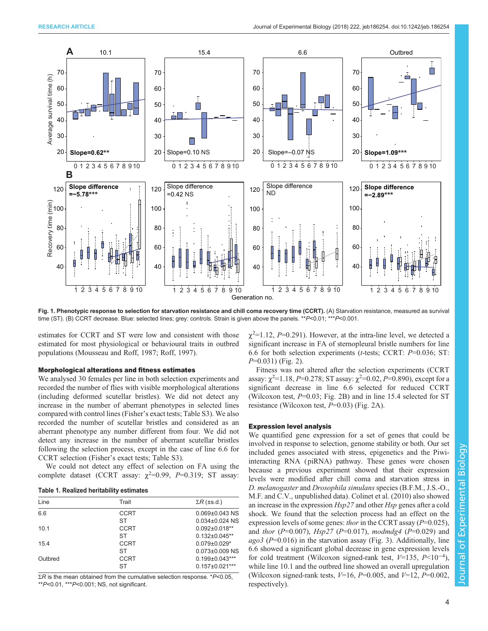<span id="page-3-0"></span>

Fig. 1. Phenotypic response to selection for starvation resistance and chill coma recovery time (CCRT). (A) Starvation resistance, measured as survival time (ST). (B) CCRT decrease. Blue: selected lines; grey: controls. Strain is given above the panels. \*\*P<0.01; \*\*\*P<0.001.

estimates for CCRT and ST were low and consistent with those estimated for most physiological or behavioural traits in outbred populations ([Mousseau and Roff, 1987](#page-7-0); [Roff, 1997](#page-7-0)).

#### Morphological alterations and fitness estimates

We analysed 30 females per line in both selection experiments and recorded the number of flies with visible morphological alterations (including deformed scutellar bristles). We did not detect any increase in the number of aberrant phenotypes in selected lines compared with control lines (Fisher's exact tests; [Table S3](http://jeb.biologists.org/lookup/doi/10.1242/jeb.186254.supplemental)). We also recorded the number of scutellar bristles and considered as an aberrant phenotype any number different from four. We did not detect any increase in the number of aberrant scutellar bristles following the selection process, except in the case of line 6.6 for CCRT selection (Fisher's exact tests; [Table S3](http://jeb.biologists.org/lookup/doi/10.1242/jeb.186254.supplemental)).

We could not detect any effect of selection on FA using the complete dataset (CCRT assay:  $\chi^2$ =0.99, P=0.319; ST assay:

## Table 1. Realized heritability estimates

| Line    | Trait       | $\Sigma R$ (±s.d.)   |
|---------|-------------|----------------------|
| 6.6     | <b>CCRT</b> | $0.069 \pm 0.043$ NS |
|         | ST          | $0.034\pm0.024$ NS   |
| 10.1    | <b>CCRT</b> | $0.092 \pm 0.018**$  |
|         | ST          | $0.132\pm0.045**$    |
| 15.4    | <b>CCRT</b> | $0.079 \pm 0.029$ *  |
|         | ST          | $0.073\pm0.009$ NS   |
| Outbred | <b>CCRT</b> | $0.199 \pm 0.043***$ |
|         | ST          | $0.157 \pm 0.021***$ |

 $\Sigma$ R is the mean obtained from the cumulative selection response. \*P<0.05,  $*P<0.01$ ,  $*P<0.001$ ; NS, not significant.

 $\chi^2$ =1.12, P=0.291). However, at the intra-line level, we detected a significant increase in FA of sternopleural bristle numbers for line 6.6 for both selection experiments (t-tests; CCRT: P=0.036; ST:  $P=0.031$ ) [\(Fig. 2\)](#page-4-0).

Fitness was not altered after the selection experiments (CCRT assay:  $\chi^2$ =1.18, P=0.278; ST assay:  $\chi^2$ =0.02, P=0.890), except for a significant decrease in line 6.6 selected for reduced CCRT (Wilcoxon test,  $P=0.03$ ; [Fig. 2B](#page-4-0)) and in line 15.4 selected for ST resistance (Wilcoxon test,  $P=0.03$ ) [\(Fig. 2A](#page-4-0)).

#### Expression level analysis

We quantified gene expression for a set of genes that could be involved in response to selection, genome stability or both. Our set included genes associated with stress, epigenetics and the Piwiinteracting RNA ( piRNA) pathway. These genes were chosen because a previous experiment showed that their expression levels were modified after chill coma and starvation stress in D. melanogaster and Drosophila simulans species (B.F.M., J.S.-O., M.F. and C.V., unpublished data). [Colinet et al. \(2010\)](#page-6-0) also showed an increase in the expression Hsp27 and other Hsp genes after a cold shock. We found that the selection process had an effect on the expression levels of some genes: *thor* in the CCRT assay ( $P=0.025$ ), and *thor* ( $P=0.007$ ),  $Hsp27$  ( $P=0.017$ ), modmdg4 ( $P=0.029$ ) and  $a\alpha\beta$  (P=0.016) in the starvation assay [\(Fig. 3\)](#page-5-0). Additionally, line 6.6 showed a significant global decrease in gene expression levels for cold treatment (Wilcoxon signed-rank test, V=135, P<10−<sup>4</sup> ), while line 10.1 and the outbred line showed an overall upregulation (Wilcoxon signed-rank tests,  $V=16$ ,  $P=0.005$ , and  $V=12$ ,  $P=0.002$ , respectively).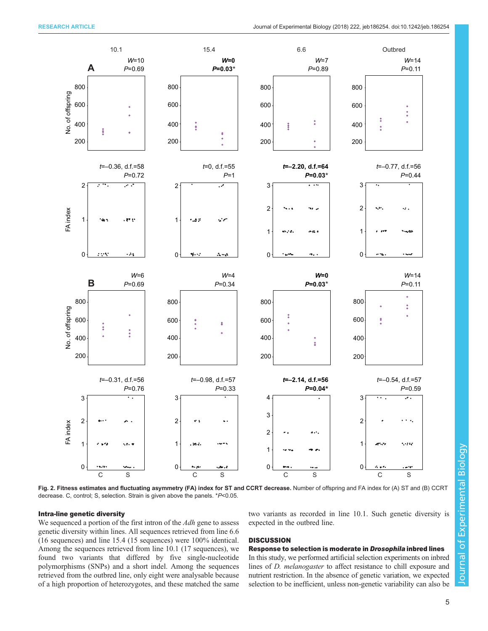<span id="page-4-0"></span>

Fig. 2. Fitness estimates and fluctuating asymmetry (FA) index for ST and CCRT decrease. Number of offspring and FA index for (A) ST and (B) CCRT decrease. C, control; S, selection. Strain is given above the panels. \*P<0.05.

## Intra-line genetic diversity

We sequenced a portion of the first intron of the Adh gene to assess genetic diversity within lines. All sequences retrieved from line 6.6 (16 sequences) and line 15.4 (15 sequences) were 100% identical. Among the sequences retrieved from line 10.1 (17 sequences), we found two variants that differed by five single-nucleotide polymorphisms (SNPs) and a short indel. Among the sequences retrieved from the outbred line, only eight were analysable because of a high proportion of heterozygotes, and these matched the same

two variants as recorded in line 10.1. Such genetic diversity is expected in the outbred line.

# **DISCUSSION**

## Response to selection is moderate in Drosophila inbred lines

In this study, we performed artificial selection experiments on inbred lines of D. melanogaster to affect resistance to chill exposure and nutrient restriction. In the absence of genetic variation, we expected selection to be inefficient, unless non-genetic variability can also be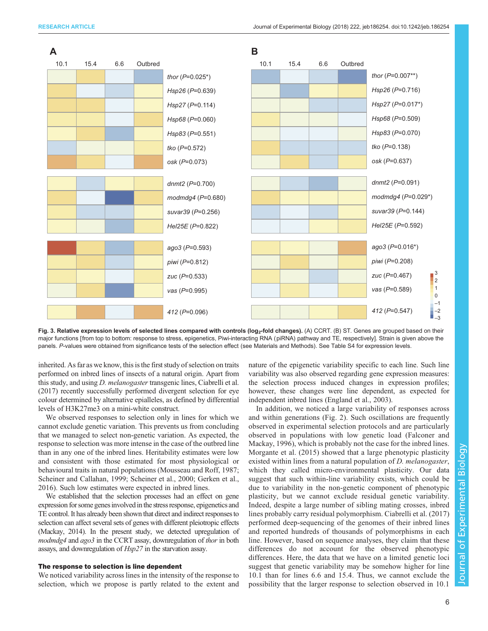<span id="page-5-0"></span>



inherited. As far as we know, this is the first study of selection on traits performed on inbred lines of insects of a natural origin. Apart from this study, and using D. melanogaster transgenic lines, [Ciabrelli et al.](#page-6-0) [\(2017\)](#page-6-0) recently successfully performed divergent selection for eye colour determined by alternative epialleles, as defined by differential levels of H3K27me3 on a mini-white construct.

We observed responses to selection only in lines for which we cannot exclude genetic variation. This prevents us from concluding that we managed to select non-genetic variation. As expected, the response to selection was more intense in the case of the outbred line than in any one of the inbred lines. Heritability estimates were low and consistent with those estimated for most physiological or behavioural traits in natural populations ([Mousseau and Roff, 1987](#page-7-0); [Scheiner and Callahan, 1999](#page-7-0); [Scheiner et al., 2000; Gerken et al.,](#page-7-0) [2016](#page-7-0)). Such low estimates were expected in inbred lines.

We established that the selection processes had an effect on gene expression for some genesinvolvedin the stress response, epigenetics and TE control. It has already been shown that direct and indirect responses to selection can affect several sets of genes with different pleiotropic effects [\(Mackay, 2014](#page-7-0)). In the present study, we detected upregulation of modmdg4 and ago3 in the CCRT assay, downregulation of thor in both assays, and downregulation of Hsp27 in the starvation assay.

# The response to selection is line dependent

We noticed variability across lines in the intensity of the response to selection, which we propose is partly related to the extent and nature of the epigenetic variability specific to each line. Such line variability was also observed regarding gene expression measures: the selection process induced changes in expression profiles; however, these changes were line dependent, as expected for independent inbred lines ([England et al., 2003\)](#page-7-0).

In addition, we noticed a large variability of responses across and within generations ([Fig. 2](#page-4-0)). Such oscillations are frequently observed in experimental selection protocols and are particularly observed in populations with low genetic load ([Falconer and](#page-7-0) [Mackay, 1996](#page-7-0)), which is probably not the case for the inbred lines. [Morgante et al. \(2015\)](#page-7-0) showed that a large phenotypic plasticity existed within lines from a natural population of *D. melanogaster*, which they called micro-environmental plasticity. Our data suggest that such within-line variability exists, which could be due to variability in the non-genetic component of phenotypic plasticity, but we cannot exclude residual genetic variability. Indeed, despite a large number of sibling mating crosses, inbred lines probably carry residual polymorphism. [Ciabrelli et al. \(2017\)](#page-6-0) performed deep-sequencing of the genomes of their inbred lines and reported hundreds of thousands of polymorphisms in each line. However, based on sequence analyses, they claim that these differences do not account for the observed phenotypic differences. Here, the data that we have on a limited genetic loci suggest that genetic variability may be somehow higher for line 10.1 than for lines 6.6 and 15.4. Thus, we cannot exclude the possibility that the larger response to selection observed in 10.1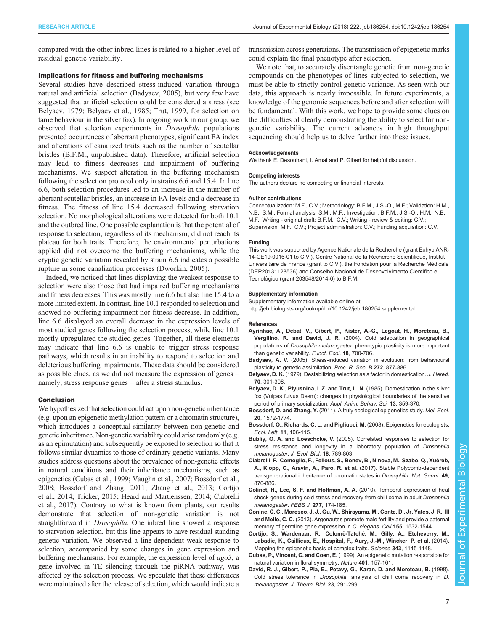<span id="page-6-0"></span>compared with the other inbred lines is related to a higher level of residual genetic variability.

#### Implications for fitness and buffering mechanisms

Several studies have described stress-induced variation through natural and artificial selection (Badyaev, 2005), but very few have suggested that artificial selection could be considered a stress (see Belyaev, 1979; Belyaev et al., 1985; [Trut, 1999,](#page-7-0) for selection on tame behaviour in the silver fox). In ongoing work in our group, we observed that selection experiments in Drosophila populations presented occurrences of aberrant phenotypes, significant FA index and alterations of canalized traits such as the number of scutellar bristles (B.F.M., unpublished data). Therefore, artificial selection may lead to fitness decreases and impairment of buffering mechanisms. We suspect alteration in the buffering mechanism following the selection protocol only in strains 6.6 and 15.4. In line 6.6, both selection procedures led to an increase in the number of aberrant scutellar bristles, an increase in FA levels and a decrease in fitness. The fitness of line 15.4 decreased following starvation selection. No morphological alterations were detected for both 10.1 and the outbred line. One possible explanation is that the potential of response to selection, regardless of its mechanism, did not reach its plateau for both traits. Therefore, the environmental perturbations applied did not overcome the buffering mechanisms, while the cryptic genetic variation revealed by strain 6.6 indicates a possible rupture in some canalization processes ([Dworkin, 2005](#page-7-0)).

Indeed, we noticed that lines displaying the weakest response to selection were also those that had impaired buffering mechanisms and fitness decreases. This was mostly line 6.6 but also line 15.4 to a more limited extent. In contrast, line 10.1 responded to selection and showed no buffering impairment nor fitness decrease. In addition, line 6.6 displayed an overall decrease in the expression levels of most studied genes following the selection process, while line 10.1 mostly upregulated the studied genes. Together, all these elements may indicate that line 6.6 is unable to trigger stress response pathways, which results in an inability to respond to selection and deleterious buffering impairments. These data should be considered as possible clues, as we did not measure the expression of genes – namely, stress response genes – after a stress stimulus.

#### Conclusion

We hypothesized that selection could act upon non-genetic inheritance (e.g. upon an epigenetic methylation pattern or a chromatin structure), which introduces a conceptual similarity between non-genetic and genetic inheritance. Non-genetic variability could arise randomly (e.g. as an epimutation) and subsequently be exposed to selection so that it follows similar dynamics to those of ordinary genetic variants. Many studies address questions about the prevalence of non-genetic effects in natural conditions and their inheritance mechanisms, such as epigenetics (Cubas et al., 1999; [Vaughn et al., 2007](#page-7-0); Bossdorf et al., 2008; Bossdorf and Zhang, 2011; [Zhang et al., 2013](#page-7-0); Cortijo et al., 2014; [Tricker, 2015](#page-7-0); [Heard and Martienssen, 2014;](#page-7-0) Ciabrelli et al., 2017). Contrary to what is known from plants, our results demonstrate that selection of non-genetic variation is not straightforward in Drosophila. One inbred line showed a response to starvation selection, but this line appears to have residual standing genetic variation. We observed a line-dependent weak response to selection, accompanied by some changes in gene expression and buffering mechanisms. For example, the expression level of  $ago3$ , a gene involved in TE silencing through the piRNA pathway, was affected by the selection process. We speculate that these differences were maintained after the release of selection, which would indicate a

transmission across generations. The transmission of epigenetic marks could explain the final phenotype after selection.

We note that, to accurately disentangle genetic from non-genetic compounds on the phenotypes of lines subjected to selection, we must be able to strictly control genetic variance. As seen with our data, this approach is nearly impossible. In future experiments, a knowledge of the genomic sequences before and after selection will be fundamental. With this work, we hope to provide some clues on the difficulties of clearly demonstrating the ability to select for nongenetic variability. The current advances in high throughput sequencing should help us to delve further into these issues.

#### Acknowledgements

We thank E. Desouhant, I. Amat and P. Gibert for helpful discussion.

#### Competing interests

The authors declare no competing or financial interests.

#### Author contributions

Conceptualization: M.F., C.V.; Methodology: B.F.M., J.S.-O., M.F.; Validation: H.M., N.B., S.M.; Formal analysis: S.M., M.F.; Investigation: B.F.M., J.S.-O., H.M., N.B., M.F.; Writing - original draft: B.F.M., C.V.; Writing - review & editing: C.V.; Supervision: M.F., C.V.; Project administration: C.V.; Funding acquisition: C.V.

#### Funding

This work was supported by Agence Nationale de la Recherche (grant Exhyb ANR-14-CE19-0016-01 to C.V.), Centre National de la Recherche Scientifique, Institut Universitaire de France (grant to C.V.), the Fondation pour la Recherche Médicale (DEP20131128536) and Conselho Nacional de Desenvolvimento Científico e Tecnológico (grant 203548/2014-0) to B.F.M.

#### Supplementary information

Supplementary information available online at <http://jeb.biologists.org/lookup/doi/10.1242/jeb.186254.supplemental>

#### References

- [Ayrinhac, A., Debat, V., Gibert, P., Kister, A.-G., Legout, H., Moreteau, B.,](http://dx.doi.org/10.1111/j.0269-8463.2004.00904.x) Vergilino, R. and David, J. R. [\(2004\). Cold adaptation in geographical](http://dx.doi.org/10.1111/j.0269-8463.2004.00904.x) populations of Drosophila melanogaster[: phenotypic plasticity is more important](http://dx.doi.org/10.1111/j.0269-8463.2004.00904.x) [than genetic variability.](http://dx.doi.org/10.1111/j.0269-8463.2004.00904.x) Funct. Ecol. 18, 700-706.
- Badyaev, A. V. [\(2005\). Stress-induced variation in evolution: from behavioural](http://dx.doi.org/10.1098/rspb.2004.3045) [plasticity to genetic assimilation.](http://dx.doi.org/10.1098/rspb.2004.3045) Proc. R. Soc. B 272, 877-886.
- Belyaev, D. K. [\(1979\). Destabilizing selection as a factor in domestication.](http://dx.doi.org/10.1093/oxfordjournals.jhered.a109263) J. Hered. 70[, 301-308.](http://dx.doi.org/10.1093/oxfordjournals.jhered.a109263)
- [Belyaev, D. K., Plyusnina, I. Z. and Trut, L. N.](http://dx.doi.org/10.1016/0168-1591(85)90015-2) (1985). Domestication in the silver [fox \(Vulpes fulvus Desm\): changes in physiological boundaries of the sensitive](http://dx.doi.org/10.1016/0168-1591(85)90015-2) [period of primary socialization.](http://dx.doi.org/10.1016/0168-1591(85)90015-2) Appl. Anim. Behav. Sci. 13, 359-370.
- Bossdorf, O. and Zhang, Y. [\(2011\). A truly ecological epigenetics study.](http://dx.doi.org/10.1111/j.1365-294X.2011.05044.x) Mol. Ecol. 20[, 1572-1774.](http://dx.doi.org/10.1111/j.1365-294X.2011.05044.x)
- [Bossdorf, O., Richards, C. L. and Pigliucci, M.](http://dx.doi.org/10.1111/j.1461-0248.2007.01130.x) (2008). Epigenetics for ecologists. Ecol. Lett. 11[, 106-115.](http://dx.doi.org/10.1111/j.1461-0248.2007.01130.x)
- Bubliy, O. A. and Loeschcke, V. [\(2005\). Correlated responses to selection for](http://dx.doi.org/10.1111/j.1420-9101.2005.00928.x) [stress resistance and longevity in a laboratory population of](http://dx.doi.org/10.1111/j.1420-9101.2005.00928.x) Drosophila [melanogaster](http://dx.doi.org/10.1111/j.1420-9101.2005.00928.x). J. Evol. Biol. 18, 789-803.
- Ciabrelli, F., Comoglio, F., Fellous, S., Bonev, B., Ninova, M., Szabo, Q., Xuéreb, [A., Klopp, C., Aravin, A., Paro, R. et al.](http://dx.doi.org/10.1038/ng.3848) (2017). Stable Polycomb-dependent [transgenerational inheritance of chromatin states in](http://dx.doi.org/10.1038/ng.3848) Drosophila. Nat. Genet. 49, [876-886.](http://dx.doi.org/10.1038/ng.3848)
- [Colinet, H., Lee, S. F. and Hoffman, A. A.](http://dx.doi.org/10.1111/j.1742-4658.2009.07470.x) (2010). Temporal expression of heat [shock genes during cold stress and recovery from chill coma in adult](http://dx.doi.org/10.1111/j.1742-4658.2009.07470.x) Drosophila [melanogaster](http://dx.doi.org/10.1111/j.1742-4658.2009.07470.x). FEBS J. 277, 174-185.
- [Conine, C. C., Moresco, J. J., Gu, W., Shirayama, M., Conte, D., Jr, Yates, J. R., III](http://dx.doi.org/10.1016/j.cell.2013.11.032) and Mello, C. C. [\(2013\). Argonautes promote male fertility and provide a paternal](http://dx.doi.org/10.1016/j.cell.2013.11.032) [memory of germline gene expression in](http://dx.doi.org/10.1016/j.cell.2013.11.032) C. elegans. Cell 155, 1532-1544.
- [Cortijo, S., Wardenaar, R., Colome](http://dx.doi.org/10.1126/science.1248127)́-Tatché, M., Gilly, A., Etcheverry, M., [Labadie, K., Caillieux, E., Hospital, F., Aury, J.-M., Wincker, P. et al.](http://dx.doi.org/10.1126/science.1248127) (2014). [Mapping the epigenetic basis of complex traits.](http://dx.doi.org/10.1126/science.1248127) Science 343, 1145-1148.
- Cubas, P., Vincent, C. and Coen, E. [\(1999\). An epigenetic mutation responsible for](http://dx.doi.org/10.1038/43657) [natural variation in floral symmetry.](http://dx.doi.org/10.1038/43657) Nature 401, 157-161.
- [David, R. J., Gibert, P., Pla, E., Petavy, G., Karan, D. and Moreteau, B.](http://dx.doi.org/10.1016/S0306-4565(98)00020-5) (1998) Cold stress tolerance in Drosophila[: analysis of chill coma recovery in](http://dx.doi.org/10.1016/S0306-4565(98)00020-5) D. melanogaster. [J. Therm. Biol.](http://dx.doi.org/10.1016/S0306-4565(98)00020-5) 23, 291-299.